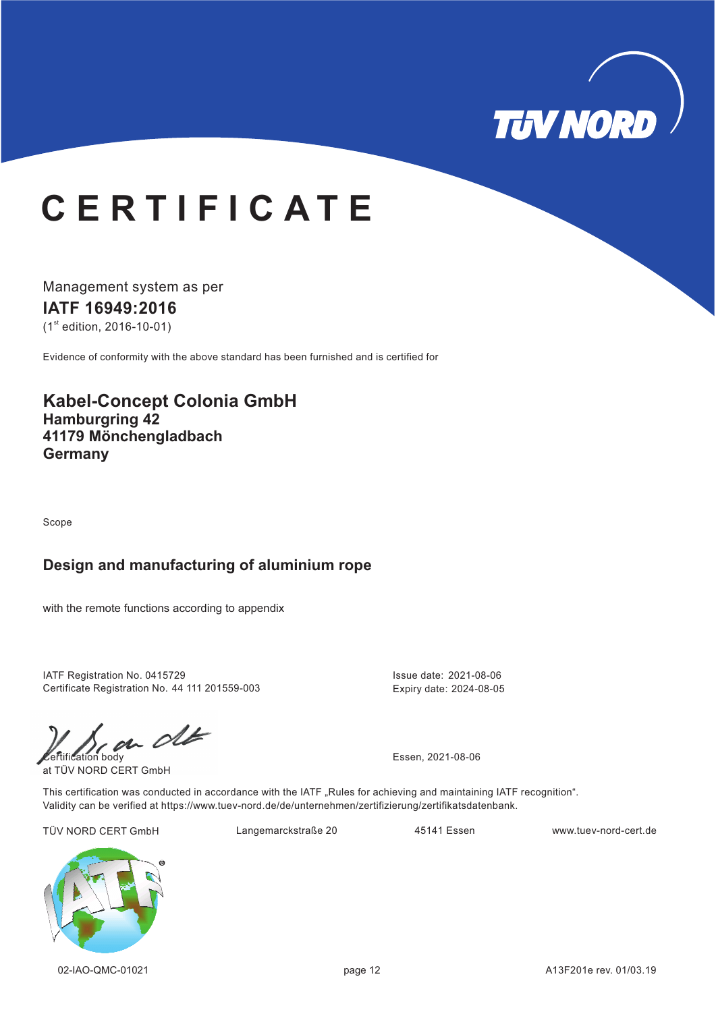

# **C E R T I F I C A T E**

Management system as per **IATF 16949: 16 20**  $(1<sup>st</sup>$  edition, 2016-10-01)

Evidence of conformity with the above standard has been furnished and is certified for

## **Kabel-Concept Colonia GmbH Hamburgring 42 41179 Mönchengladbach Germany**

Scope

#### **Design and manufacturing of aluminium rope**

with the remote functions according to appendix

IATF Registration No. 0415729 Certificate Registration No. 44 111 201559-003

 $\mathcal{C}$ 

at TÜV NORD CERT GmbH

Issue date: 2021-08-06 Expiry date: 2024-08-05

This certification was conducted in accordance with the IATF "Rules for achieving and maintaining IATF recognition". Validity can be verified at https://www.tuev-nord.de/de/unternehmen/zertifizierung/zertifikatsdatenbank.

TÜV NORD CERT GmbH Langemarckstraße 20 45141 Essen www.tuev-nord-cert.de